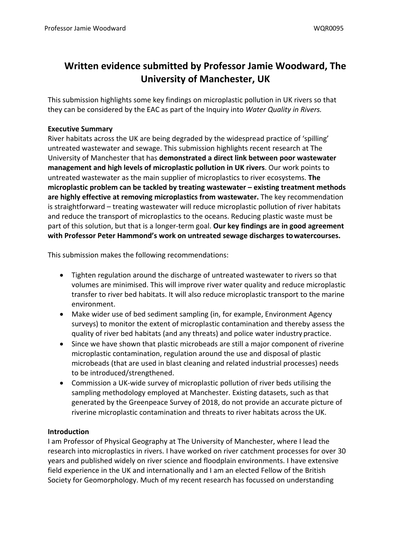# **Written evidence submitted by Professor Jamie Woodward, The University of Manchester, UK**

This submission highlights some key findings on microplastic pollution in UK rivers so that they can be considered by the EAC as part of the Inquiry into *Water Quality in Rivers.*

## **Executive Summary**

River habitats across the UK are being degraded by the widespread practice of 'spilling' untreated wastewater and sewage. This submission highlights recent research at The University of Manchester that has **demonstrated a direct link between poor wastewater management and high levels of microplastic pollution in UK rivers**. Our work points to untreated wastewater as the main supplier of microplastics to river ecosystems. **The microplastic problem can be tackled by treating wastewater – existing treatment methods are highly effective at removing microplastics from wastewater.** The key recommendation is straightforward – treating wastewater will reduce microplastic pollution of river habitats and reduce the transport of microplastics to the oceans. Reducing plastic waste must be part of this solution, but that is a longer-term goal. **Our key findings are in good agreement with Professor Peter Hammond's work on untreated sewage discharges towatercourses.**

This submission makes the following recommendations:

- Tighten regulation around the discharge of untreated wastewater to rivers so that volumes are minimised. This will improve river water quality and reduce microplastic transfer to river bed habitats. It will also reduce microplastic transport to the marine environment.
- Make wider use of bed sediment sampling (in, for example, Environment Agency surveys) to monitor the extent of microplastic contamination and thereby assess the quality of river bed habitats (and any threats) and police water industry practice.
- Since we have shown that plastic microbeads are still a major component of riverine microplastic contamination, regulation around the use and disposal of plastic microbeads (that are used in blast cleaning and related industrial processes) needs to be introduced/strengthened.
- Commission a UK-wide survey of microplastic pollution of river beds utilising the sampling methodology employed at Manchester. Existing datasets, such as that generated by the Greenpeace Survey of 2018, do not provide an accurate picture of riverine microplastic contamination and threats to river habitats across the UK.

# **Introduction**

I am Professor of Physical Geography at The University of Manchester, where I lead the research into microplastics in rivers. I have worked on river catchment processes for over 30 years and published widely on river science and floodplain environments. I have extensive field experience in the UK and internationally and I am an elected Fellow of the British Society for Geomorphology. Much of my recent research has focussed on understanding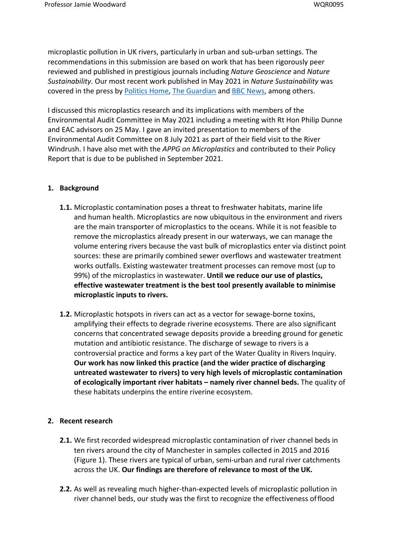microplastic pollution in UK rivers, particularly in urban and sub-urban settings. The recommendations in this submission are based on work that has been rigorously peer reviewed and published in prestigious journals including *Nature Geoscience* and *Nature Sustainability*. Our most recent work published in May 2021 in *Nature Sustainability* was covered in the press by [Politics](https://www.politicshome.com/members/article/microplastics-and-sewage-in-rivers-a-threat-to-ecosystems-the-environment-and-public-health) [Home](https://www.politicshome.com/members/article/microplastics-and-sewage-in-rivers-a-threat-to-ecosystems-the-environment-and-public-health), [The](https://www.theguardian.com/environment/2021/may/13/water-firms-are-main-source-of-microplastics-in-uk-rivers-study-says) [Guardian](https://www.theguardian.com/environment/2021/may/13/water-firms-are-main-source-of-microplastics-in-uk-rivers-study-says) [a](https://www.theguardian.com/environment/2021/may/13/water-firms-are-main-source-of-microplastics-in-uk-rivers-study-says)nd [BBC](https://www.bbc.co.uk/news/science-environment-57092135) [News,](https://www.bbc.co.uk/news/science-environment-57092135) among others.

I discussed this microplastics research and its implications with members of the Environmental Audit Committee in May 2021 including a meeting with Rt Hon Philip Dunne and EAC advisors on 25 May. I gave an invited presentation to members of the Environmental Audit Committee on 8 July 2021 as part of their field visit to the River Windrush. I have also met with the *APPG on Microplastics* and contributed to their Policy Report that is due to be published in September 2021.

## **1. Background**

- **1.1.** Microplastic contamination poses a threat to freshwater habitats, marine life and human health. Microplastics are now ubiquitous in the environment and rivers are the main transporter of microplastics to the oceans. While it is not feasible to remove the microplastics already present in our waterways, we can manage the volume entering rivers because the vast bulk of microplastics enter via distinct point sources: these are primarily combined sewer overflows and wastewater treatment works outfalls. Existing wastewater treatment processes can remove most (up to 99%) of the microplastics in wastewater. **Until we reduce our use of plastics, effective wastewater treatment is the best tool presently available to minimise microplastic inputs to rivers.**
- **1.2.** Microplastic hotspots in rivers can act as a vector for sewage-borne toxins, amplifying their effects to degrade riverine ecosystems. There are also significant concerns that concentrated sewage deposits provide a breeding ground for genetic mutation and antibiotic resistance. The discharge of sewage to rivers is a controversial practice and forms a key part of the Water Quality in Rivers Inquiry. **Our work has now linked this practice (and the wider practice of discharging untreated wastewater to rivers) to very high levels of microplastic contamination of ecologically important river habitats – namely river channel beds.** The quality of these habitats underpins the entire riverine ecosystem.

## **2. Recent research**

- **2.1.** We first recorded widespread microplastic contamination of river channel beds in ten rivers around the city of Manchester in samples collected in 2015 and 2016 (Figure 1). These rivers are typical of urban, semi-urban and rural river catchments across the UK. **Our findings are therefore of relevance to most of the UK.**
- **2.2.** As well as revealing much higher-than-expected levels of microplastic pollution in river channel beds, our study was the first to recognize the effectiveness offlood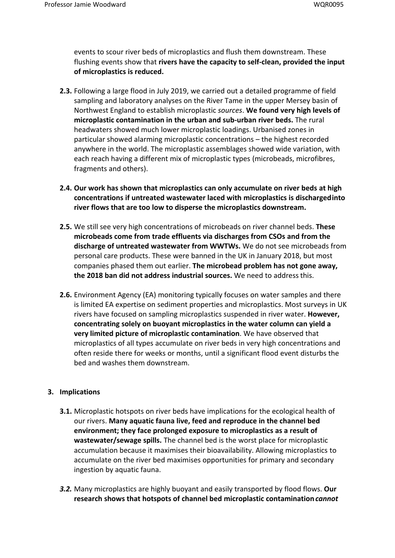events to scour river beds of microplastics and flush them downstream. These flushing events show that **rivers have the capacity to self-clean, provided the input of microplastics is reduced.**

- **2.3.** Following a large flood in July 2019, we carried out a detailed programme of field sampling and laboratory analyses on the River Tame in the upper Mersey basin of Northwest England to establish microplastic *sources*. **We found very high levels of microplastic contamination in the urban and sub-urban river beds.** The rural headwaters showed much lower microplastic loadings. Urbanised zones in particular showed alarming microplastic concentrations – the highest recorded anywhere in the world. The microplastic assemblages showed wide variation, with each reach having a different mix of microplastic types (microbeads, microfibres, fragments and others).
- **2.4. Our work has shown that microplastics can only accumulate on river beds at high concentrations if untreated wastewater laced with microplastics is dischargedinto river flows that are too low to disperse the microplastics downstream.**
- **2.5.** We still see very high concentrations of microbeads on river channel beds. **These microbeads come from trade effluents via discharges from CSOs and from the discharge of untreated wastewater from WWTWs.** We do not see microbeads from personal care products. These were banned in the UK in January 2018, but most companies phased them out earlier. **The microbead problem has not gone away, the 2018 ban did not address industrial sources.** We need to addressthis.
- **2.6.** Environment Agency (EA) monitoring typically focuses on water samples and there is limited EA expertise on sediment properties and microplastics. Most surveys in UK rivers have focused on sampling microplastics suspended in river water. **However, concentrating solely on buoyant microplastics in the water column can yield a very limited picture of microplastic contamination**. We have observed that microplastics of all types accumulate on river beds in very high concentrations and often reside there for weeks or months, until a significant flood event disturbs the bed and washes them downstream.

## **3. Implications**

- **3.1.** Microplastic hotspots on river beds have implications for the ecological health of our rivers. **Many aquatic fauna live, feed and reproduce in the channel bed environment; they face prolonged exposure to microplastics as a result of wastewater/sewage spills.** The channel bed is the worst place for microplastic accumulation because it maximises their bioavailability. Allowing microplastics to accumulate on the river bed maximises opportunities for primary and secondary ingestion by aquatic fauna.
- *3.2.* Many microplastics are highly buoyant and easily transported by flood flows. **Our research shows that hotspots of channel bed microplastic contamination***cannot*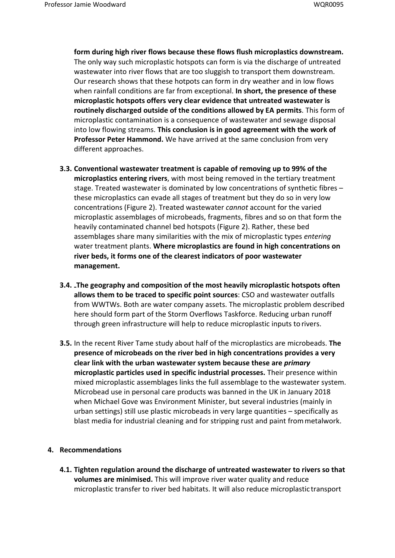**form during high river flows because these flows flush microplastics downstream.** The only way such microplastic hotspots can form is via the discharge of untreated wastewater into river flows that are too sluggish to transport them downstream. Our research shows that these hotpots can form in dry weather and in low flows when rainfall conditions are far from exceptional. **In short, the presence of these microplastic hotspots offers very clear evidence that untreated wastewater is routinely discharged outside of the conditions allowed by EA permits**. This form of microplastic contamination is a consequence of wastewater and sewage disposal into low flowing streams. **This conclusion is in good agreement with the work of Professor Peter Hammond.** We have arrived at the same conclusion from very different approaches.

- **3.3. Conventional wastewater treatment is capable of removing up to 99% of the microplastics entering rivers**, with most being removed in the tertiary treatment stage. Treated wastewater is dominated by low concentrations of synthetic fibres – these microplastics can evade all stages of treatment but they do so in very low concentrations (Figure 2). Treated wastewater *cannot* account for the varied microplastic assemblages of microbeads, fragments, fibres and so on that form the heavily contaminated channel bed hotspots (Figure 2). Rather, these bed assemblages share many similarities with the mix of microplastic types *entering* water treatment plants. **Where microplastics are found in high concentrations on river beds, it forms one of the clearest indicators of poor wastewater management.**
- **3.4. The geography and composition of the most heavily microplastic hotspots often allows them to be traced to specific point sources**: CSO and wastewater outfalls from WWTWs. Both are water company assets. The microplastic problem described here should form part of the Storm Overflows Taskforce. Reducing urban runoff through green infrastructure will help to reduce microplastic inputs to rivers.
- **3.5.** In the recent River Tame study about half of the microplastics are microbeads. **The presence of microbeads on the river bed in high concentrations provides a very clear link with the urban wastewater system because these are** *primary* **microplastic particles used in specific industrial processes.** Their presence within mixed microplastic assemblages links the full assemblage to the wastewater system. Microbead use in personal care products was banned in the UK in January 2018 when Michael Gove was Environment Minister, but several industries (mainly in urban settings) still use plastic microbeads in very large quantities – specifically as blast media for industrial cleaning and for stripping rust and paint frommetalwork.

#### **4. Recommendations**

**4.1. Tighten regulation around the discharge of untreated wastewater to rivers so that volumes are minimised.** This will improve river water quality and reduce microplastic transfer to river bed habitats. It will also reduce microplastic transport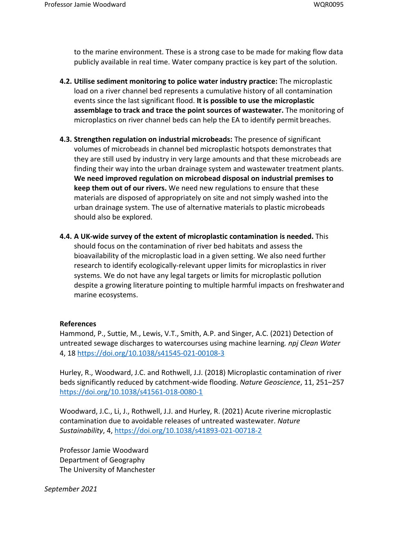to the marine environment. These is a strong case to be made for making flow data publicly available in real time. Water company practice is key part of the solution.

- **4.2. Utilise sediment monitoring to police water industry practice:** The microplastic load on a river channel bed represents a cumulative history of all contamination events since the last significant flood. **It is possible to use the microplastic assemblage to track and trace the point sources of wastewater.** The monitoring of microplastics on river channel beds can help the EA to identify permit breaches.
- **4.3. Strengthen regulation on industrial microbeads:** The presence of significant volumes of microbeads in channel bed microplastic hotspots demonstrates that they are still used by industry in very large amounts and that these microbeads are finding their way into the urban drainage system and wastewater treatment plants. **We need improved regulation on microbead disposal on industrial premises to keep them out of our rivers.** We need new regulations to ensure that these materials are disposed of appropriately on site and not simply washed into the urban drainage system. The use of alternative materials to plastic microbeads should also be explored.
- **4.4. A UK-wide survey of the extent of microplastic contamination is needed.** This should focus on the contamination of river bed habitats and assess the bioavailability of the microplastic load in a given setting. We also need further research to identify ecologically-relevant upper limits for microplastics in river systems. We do not have any legal targets or limits for microplastic pollution despite a growing literature pointing to multiple harmful impacts on freshwaterand marine ecosystems.

#### **References**

Hammond, P., Suttie, M., Lewis, V.T., Smith, A.P. and Singer, A.C. (2021) Detection of untreated sewage discharges to watercourses using machine learning*. npj Clean Water* 4, 18 <https://doi.org/10.1038/s41545-021-00108-3>

Hurley, R., Woodward, J.C. and Rothwell, J.J. (2018) Microplastic contamination of river beds significantly reduced by catchment-wide flooding. *Nature Geoscience*, 11, 251–257 <https://doi.org/10.1038/s41561-018-0080-1>

Woodward, J.C., Li, J., Rothwell, J.J. and Hurley, R. (2021) Acute riverine microplastic contamination due to avoidable releases of untreated wastewater. *Nature Sustainability*, 4, <https://doi.org/10.1038/s41893-021-00718-2>

Professor Jamie Woodward Department of Geography The University of Manchester

*September 2021*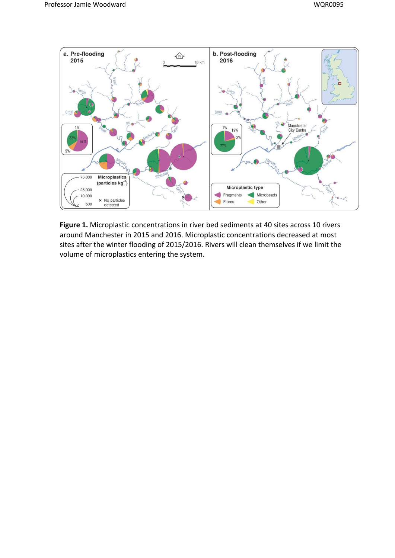

**Figure 1.** Microplastic concentrations in river bed sediments at 40 sites across 10 rivers around Manchester in 2015 and 2016. Microplastic concentrations decreased at most sites after the winter flooding of 2015/2016. Rivers will clean themselves if we limit the volume of microplastics entering the system.